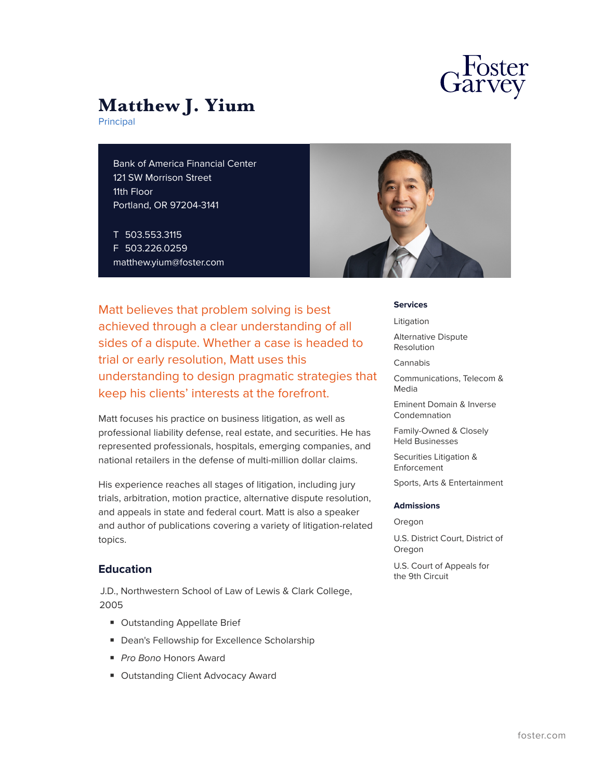

Principal

Bank of America Financial Center 121 SW Morrison Street 11th Floor Portland, OR 97204-3141

T 503.553.3115 F 503.226.0259 matthew.yium@foster.com



Matt believes that problem solving is best achieved through a clear understanding of all sides of a dispute. Whether a case is headed to trial or early resolution, Matt uses this understanding to design pragmatic strategies that keep his clients' interests at the forefront.

Matt focuses his practice on business litigation, as well as professional liability defense, real estate, and securities. He has represented professionals, hospitals, emerging companies, and national retailers in the defense of multi-million dollar claims.

His experience reaches all stages of litigation, including jury trials, arbitration, motion practice, alternative dispute resolution, and appeals in state and federal court. Matt is also a speaker and author of publications covering a variety of litigation-related topics.

## **Education**

J.D., Northwestern School of Law of Lewis & Clark College, 2005

- Outstanding Appellate Brief
- Dean's Fellowship for Excellence Scholarship
- *Pro Bono* Honors Award
- Outstanding Client Advocacy Award

#### **Services**

Litigation

Alternative Dispute Resolution

Cannabis

Communications, Telecom & Media

Eminent Domain & Inverse Condemnation

Family-Owned & Closely Held Businesses

Securities Litigation & Enforcement

Sports, Arts & Entertainment

#### **Admissions**

Oregon

U.S. District Court, District of Oregon

U.S. Court of Appeals for the 9th Circuit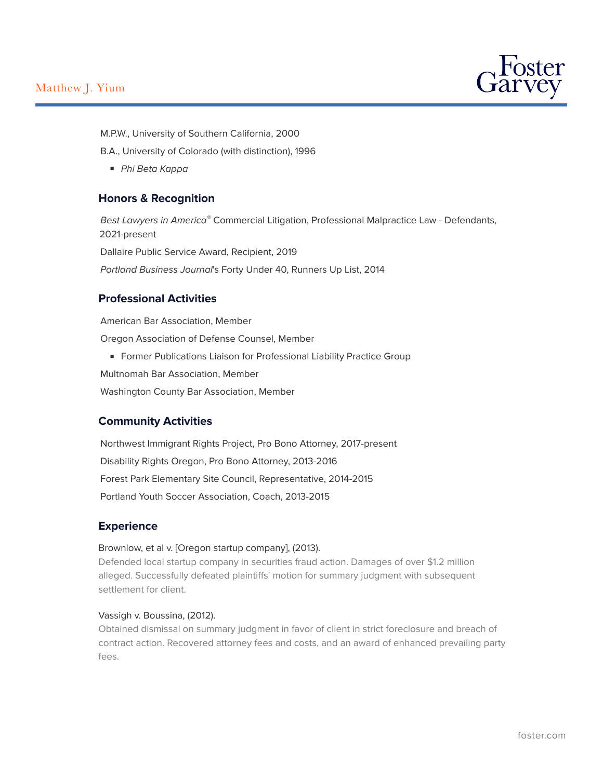

M.P.W., University of Southern California, 2000

B.A., University of Colorado (with distinction), 1996

■ *Phi Beta Kappa*

## **Honors & Recognition**

*Best Lawyers in America®* Commercial Litigation, Professional Malpractice Law - Defendants, 2021-present Dallaire Public Service Award, Recipient, 2019 *Portland Business Journal*'s Forty Under 40, Runners Up List, 2014

## **Professional Activities**

American Bar Association, Member Oregon Association of Defense Counsel, Member

■ Former Publications Liaison for Professional Liability Practice Group

Multnomah Bar Association, Member

Washington County Bar Association, Member

## **Community Activities**

Northwest Immigrant Rights Project, Pro Bono Attorney, 2017-present Disability Rights Oregon, Pro Bono Attorney, 2013-2016 Forest Park Elementary Site Council, Representative, 2014-2015 Portland Youth Soccer Association, Coach, 2013-2015

## **Experience**

#### Brownlow, et al v. [Oregon startup company], (2013).

Defended local startup company in securities fraud action. Damages of over \$1.2 million alleged. Successfully defeated plaintiffs' motion for summary judgment with subsequent settlement for client.

#### Vassigh v. Boussina, (2012).

Obtained dismissal on summary judgment in favor of client in strict foreclosure and breach of contract action. Recovered attorney fees and costs, and an award of enhanced prevailing party fees.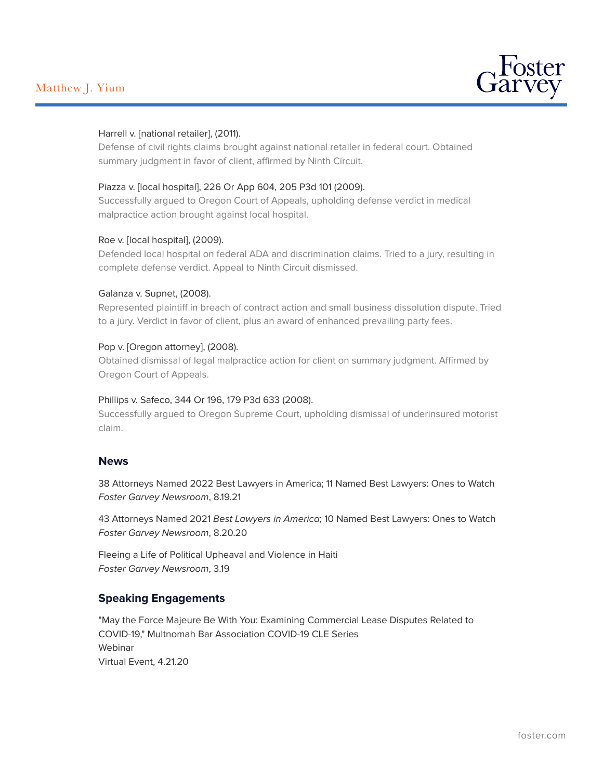

#### Harrell v. [national retailer], (2011).

Defense of civil rights claims brought against national retailer in federal court. Obtained summary judgment in favor of client, affirmed by Ninth Circuit.

#### Piazza v. [local hospital], 226 Or App 604, 205 P3d 101 (2009).

Successfully argued to Oregon Court of Appeals, upholding defense verdict in medical malpractice action brought against local hospital.

#### Roe v. [local hospital], (2009).

Defended local hospital on federal ADA and discrimination claims. Tried to a jury, resulting in complete defense verdict. Appeal to Ninth Circuit dismissed.

#### Galanza v. Supnet, (2008).

Represented plaintiff in breach of contract action and small business dissolution dispute. Tried to a jury. Verdict in favor of client, plus an award of enhanced prevailing party fees.

#### Pop v. [Oregon attorney], (2008).

Obtained dismissal of legal malpractice action for client on summary judgment. Affirmed by Oregon Court of Appeals.

#### Phillips v. Safeco, 344 Or 196, 179 P3d 633 (2008).

Successfully argued to Oregon Supreme Court, upholding dismissal of underinsured motorist claim.

## **News**

38 Attorneys Named 2022 Best Lawyers in America; 11 Named Best Lawyers: Ones to Watch *Foster Garvey Newsroom*, 8.19.21

43 Attorneys Named 2021 *Best Lawyers in America*; 10 Named Best Lawyers: Ones to Watch *Foster Garvey Newsroom*, 8.20.20

Fleeing a Life of Political Upheaval and Violence in Haiti *Foster Garvey Newsroom*, 3.19

## **Speaking Engagements**

"May the Force Majeure Be With You: Examining Commercial Lease Disputes Related to COVID-19," Multnomah Bar Association COVID-19 CLE Series Webinar Virtual Event, 4.21.20